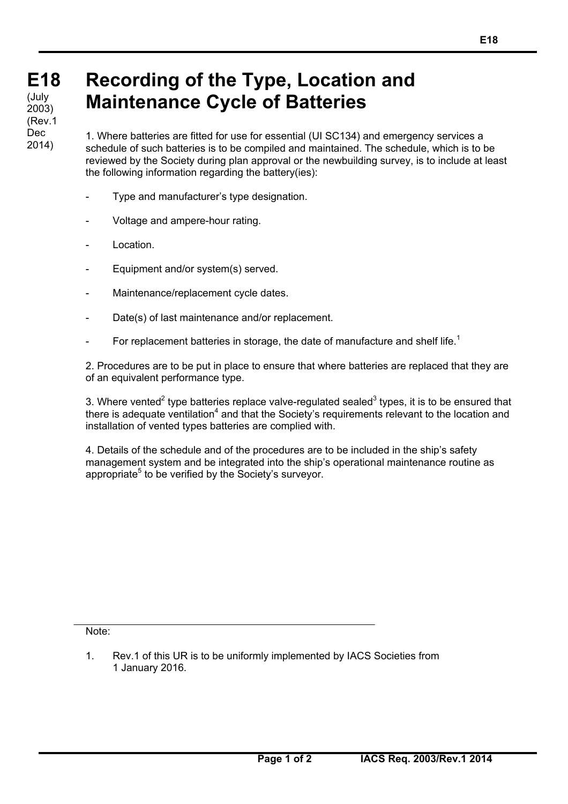## **Recording of the Type, Location and Maintenance Cycle of Batteries**

1. Where batteries are fitted for use for essential (UI SC134) and emergency services a schedule of such batteries is to be compiled and maintained. The schedule, which is to be reviewed by the Society during plan approval or the newbuilding survey, is to include at least the following information regarding the battery(ies):

- Type and manufacturer's type designation.
- Voltage and ampere-hour rating.
- Location.
- Equipment and/or system(s) served.
- Maintenance/replacement cycle dates.
- Date(s) of last maintenance and/or replacement.
- For replacement batteries in storage, the date of manufacture and shelf life.<sup>1</sup>

2. Procedures are to be put in place to ensure that where batteries are replaced that they are of an equivalent performance type.

3. Where vented<sup>2</sup> type batteries replace valve-regulated sealed<sup>3</sup> types, it is to be ensured that there is adequate ventilation<sup>4</sup> and that the Society's requirements relevant to the location and installation of vented types batteries are complied with.

4. Details of the schedule and of the procedures are to be included in the ship's safety management system and be integrated into the ship's operational maintenance routine as appropriate<sup>5</sup> to be verified by the Society's surveyor.

Note:

1. Rev.1 of this UR is to be uniformly implemented by IACS Societies from 1 January 2016.